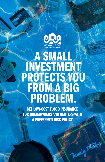

# **A SMALL<br>
INVESTMENT<br>
PROTECTS YOU<br>
FROM A BIG<br>
PROBLEM.**

GET LOW-COST FLOOD INSURANCE FOR HOMEOWNERS AND RENTERS WITH A PREFERRED RISK POLICY

Family Photos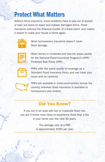### Protect What Matters

Without flood insurance, most residents have to pay out of pocket or take out loans to repair and replace damaged items. Flood insurance reduces the financial burden of a flood event, and makes it easier to make your house a home again.



Most homeowners insurance doesn't cover flood damage.



Most homes in moderate and low-risk areas qualify for the National Flood Insurance Program's (NFIP) Preferred Risk Policy (PRP).



PRPs offer the same quality of coverage as a Standard Flood Insurance Policy and can cover your home and its contents.



PRPs are available in most communities across the country, wherever flood insurance is available to homeowners and renters.

### Did You Know?

If you live in an area with low or moderate flood risk, you are 5 times more likely to experience flood than a fire in your home over the next 30 years.

> The average cost of a PRP is approximately \$395 per year.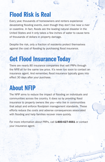## Flood Risk is Real

Every year, thousands of homeowners and renters experience devastating flooding events, even though they don't live near a river or coastline. In fact, floods are the leading natural disaster in the United States and it only takes a few inches of water to cause tens of thousands of dollars in property damage.

Despite the risk, only a fraction of residents protect themselves against the cost of flooding by purchasing flood insurance.

## Get Flood Insurance Today

There are nearly 80 insurance companies that sell PRPs through the NFIP, all for the same low price. It's never too soon to contact an insurance agent. And remember, flood insurance typically goes into effect 30 days after your purchase.

# About NFIP

The NFIP aims to reduce the impact of flooding on individuals and communities across the country. It does so by providing flood insurance to property owners like you—who live in communities that adopt and enforce floodplain management standards. These efforts reduce the costs and adverse consequences associated with flooding and help families recover more quickly.

For more information about PRPs, call 1-800-427-4661 or contact your insurance agent.